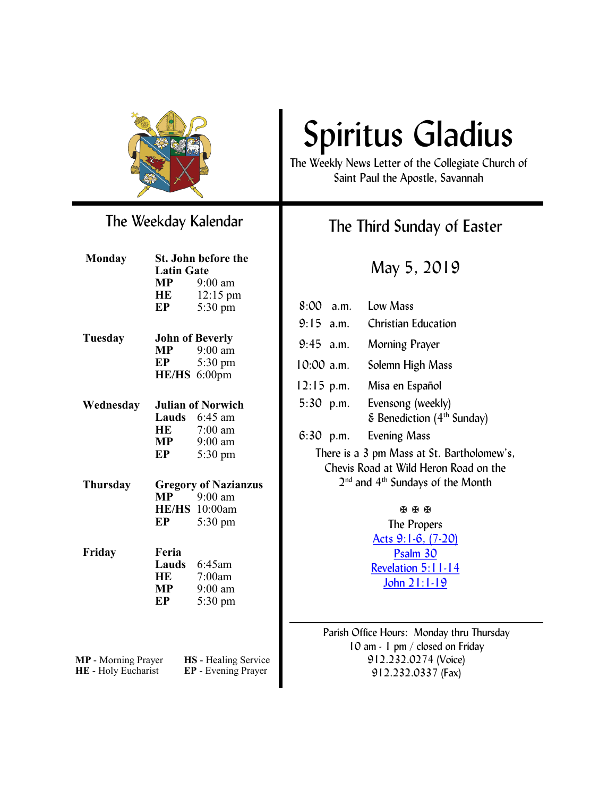

## The Weekday Kalendar

| <b>Monday</b>                              | St. John before the         |                                             |  |
|--------------------------------------------|-----------------------------|---------------------------------------------|--|
|                                            | <b>Latin Gate</b>           |                                             |  |
|                                            | MP                          | $9:00$ am                                   |  |
|                                            | HE                          | 12:15 pm                                    |  |
|                                            | EP                          | 5:30 pm                                     |  |
| Tuesday                                    | <b>John of Beverly</b>      |                                             |  |
|                                            | MP                          | $9:00$ am                                   |  |
|                                            | EP                          | 5:30 pm                                     |  |
|                                            |                             | HE/HS 6:00pm                                |  |
|                                            |                             |                                             |  |
| Wednesday                                  | <b>Julian of Norwich</b>    |                                             |  |
|                                            |                             | Lauds 6:45 am                               |  |
|                                            | HE                          | $7:00$ am                                   |  |
|                                            | <b>MP</b>                   | $9:00$ am                                   |  |
|                                            | EP                          | 5:30 pm                                     |  |
| Thursday                                   | <b>Gregory of Nazianzus</b> |                                             |  |
|                                            | MP                          | $9:00$ am                                   |  |
|                                            |                             | <b>HE/HS</b> 10:00am                        |  |
|                                            | EP                          | 5:30 pm                                     |  |
|                                            | Feria                       |                                             |  |
| Friday                                     |                             | Lauds 6:45am                                |  |
|                                            | HE                          | 7:00am                                      |  |
|                                            | MP                          | 9:00 am                                     |  |
|                                            | EP                          | $5:30 \text{ pm}$                           |  |
|                                            |                             |                                             |  |
|                                            |                             |                                             |  |
|                                            |                             |                                             |  |
| MP - Morning Prayer<br>HE - Holy Eucharist |                             | HS - Healing Service<br>EP - Evening Prayer |  |

# Spiritus Gladius

The Weekly News Letter of the Collegiate Church of Saint Paul the Apostle, Savannah

## The Third Sunday of Easter

May 5, 2019

| 8:00                                                                                                                                            | a.m.         | Low Mass                                                                     |  |
|-------------------------------------------------------------------------------------------------------------------------------------------------|--------------|------------------------------------------------------------------------------|--|
| $9:15$ a.m.                                                                                                                                     |              | <b>Christian Education</b>                                                   |  |
| $9:45$ a.m.                                                                                                                                     |              | Morning Prayer                                                               |  |
| $10:00$ a.m.                                                                                                                                    |              | Solemn High Mass                                                             |  |
|                                                                                                                                                 | $12:15$ p.m. | Misa en Español                                                              |  |
|                                                                                                                                                 | 5:30 p.m.    | Evensong (weekly)<br>$\epsilon$ Benediction (4 <sup>th</sup> Sunday)         |  |
| 6:30                                                                                                                                            | p.m.         | <b>Evening Mass</b>                                                          |  |
| There is a 3 pm Mass at St. Bartholomew's,<br>Chevis Road at Wild Heron Road on the<br>2 <sup>nd</sup> and 4 <sup>th</sup> Sundays of the Month |              |                                                                              |  |
| <b>K K K</b>                                                                                                                                    |              |                                                                              |  |
| The Propers                                                                                                                                     |              |                                                                              |  |
| <u> Acts 9:1-6, (7-20)</u>                                                                                                                      |              |                                                                              |  |
| Psalm 30                                                                                                                                        |              |                                                                              |  |
| <b>Revelation 5:11-14</b>                                                                                                                       |              |                                                                              |  |
| <u> John 21:1-19</u>                                                                                                                            |              |                                                                              |  |
|                                                                                                                                                 |              |                                                                              |  |
|                                                                                                                                                 |              | Parish Office Hours: Monday thru Thursday<br>10 am - 1 pm / closed on Friday |  |

912.232.0274 (Voice) 912.232.0337 (Fax)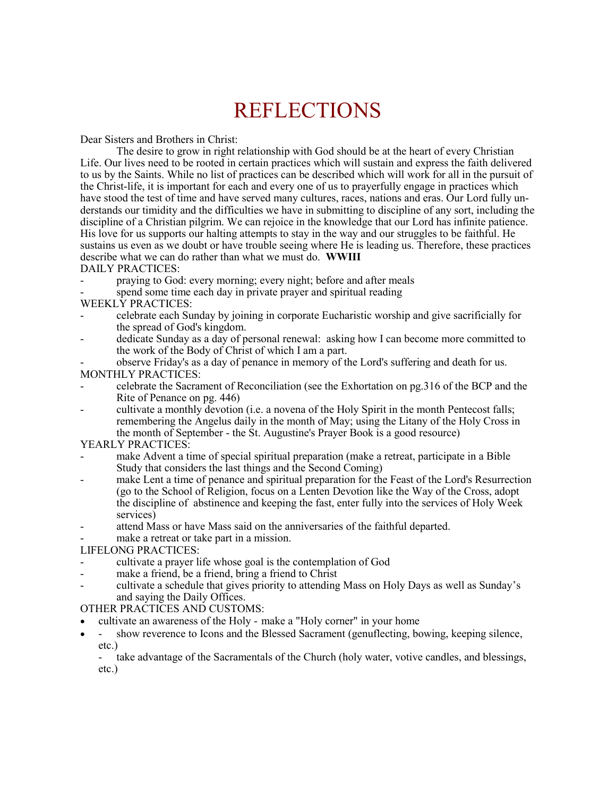## REFLECTIONS

Dear Sisters and Brothers in Christ:

The desire to grow in right relationship with God should be at the heart of every Christian Life. Our lives need to be rooted in certain practices which will sustain and express the faith delivered to us by the Saints. While no list of practices can be described which will work for all in the pursuit of the Christ-life, it is important for each and every one of us to prayerfully engage in practices which have stood the test of time and have served many cultures, races, nations and eras. Our Lord fully understands our timidity and the difficulties we have in submitting to discipline of any sort, including the discipline of a Christian pilgrim. We can rejoice in the knowledge that our Lord has infinite patience. His love for us supports our halting attempts to stay in the way and our struggles to be faithful. He sustains us even as we doubt or have trouble seeing where He is leading us. Therefore, these practices describe what we can do rather than what we must do. **WWIII**

#### DAILY PRACTICES:

- praying to God: every morning; every night; before and after meals
- spend some time each day in private prayer and spiritual reading

#### WEEKLY PRACTICES:

- celebrate each Sunday by joining in corporate Eucharistic worship and give sacrificially for the spread of God's kingdom.
- dedicate Sunday as a day of personal renewal: asking how I can become more committed to the work of the Body of Christ of which I am a part.
- observe Friday's as a day of penance in memory of the Lord's suffering and death for us.

#### MONTHLY PRACTICES:

- celebrate the Sacrament of Reconciliation (see the Exhortation on pg.316 of the BCP and the Rite of Penance on pg. 446)
- cultivate a monthly devotion (i.e. a novena of the Holy Spirit in the month Pentecost falls; remembering the Angelus daily in the month of May; using the Litany of the Holy Cross in the month of September - the St. Augustine's Prayer Book is a good resource)

#### YEARLY PRACTICES:

- make Advent a time of special spiritual preparation (make a retreat, participate in a Bible Study that considers the last things and the Second Coming)
- make Lent a time of penance and spiritual preparation for the Feast of the Lord's Resurrection (go to the School of Religion, focus on a Lenten Devotion like the Way of the Cross, adopt the discipline of abstinence and keeping the fast, enter fully into the services of Holy Week services)
- attend Mass or have Mass said on the anniversaries of the faithful departed.
- make a retreat or take part in a mission.

#### LIFELONG PRACTICES:

- cultivate a prayer life whose goal is the contemplation of God
- make a friend, be a friend, bring a friend to Christ
- cultivate a schedule that gives priority to attending Mass on Holy Days as well as Sunday's and saying the Daily Offices.

#### OTHER PRACTICES AND CUSTOMS:

- cultivate an awareness of the Holy make a "Holy corner" in your home
- - show reverence to Icons and the Blessed Sacrament (genuflecting, bowing, keeping silence, etc.)
	- take advantage of the Sacramentals of the Church (holy water, votive candles, and blessings, etc.)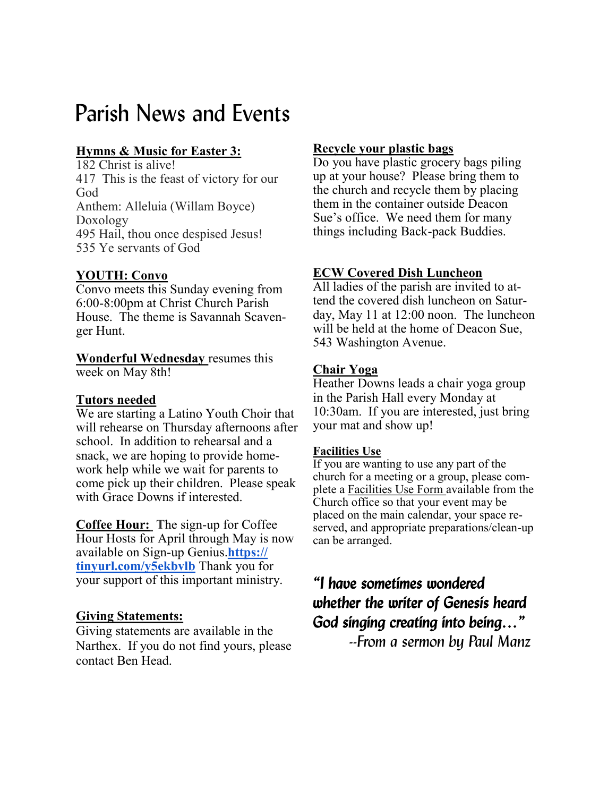## Parish News and Events

### **Hymns & Music for Easter 3:**

182 Christ is alive! 417 This is the feast of victory for our God Anthem: Alleluia (Willam Boyce) Doxology 495 Hail, thou once despised Jesus! 535 Ye servants of God

#### **YOUTH: Convo**

Convo meets this Sunday evening from 6:00-8:00pm at Christ Church Parish House. The theme is Savannah Scavenger Hunt.

**Wonderful Wednesday** resumes this week on May 8th!

#### **Tutors needed**

We are starting a Latino Youth Choir that will rehearse on Thursday afternoons after school. In addition to rehearsal and a snack, we are hoping to provide homework help while we wait for parents to come pick up their children. Please speak with Grace Downs if interested.

**Coffee Hour: T**he sign-up for Coffee Hour Hosts for April through May is now available on Sign-up Genius.**[https://](https://tinyurl.com/y5ekbvlb) [tinyurl.com/y5ekbvlb](https://tinyurl.com/y5ekbvlb)** Thank you for your support of this important ministry.

#### **Giving Statements:**

Giving statements are available in the Narthex. If you do not find yours, please contact Ben Head.

#### **Recycle your plastic bags**

Do you have plastic grocery bags piling up at your house? Please bring them to the church and recycle them by placing them in the container outside Deacon Sue's office. We need them for many things including Back-pack Buddies.

#### **ECW Covered Dish Luncheon**

All ladies of the parish are invited to attend the covered dish luncheon on Saturday, May 11 at 12:00 noon. The luncheon will be held at the home of Deacon Sue, 543 Washington Avenue.

#### **Chair Yoga**

Heather Downs leads a chair yoga group in the Parish Hall every Monday at 10:30am. If you are interested, just bring your mat and show up!

#### **Facilities Use**

If you are wanting to use any part of the church for a meeting or a group, please complete a Facilities Use Form available from the Church office so that your event may be placed on the main calendar, your space reserved, and appropriate preparations/clean-up can be arranged.

## *"I have sometimes wondered whether the writer of Genesis heard God singing creating into being…"*

 *--From a sermon by Paul Manz*